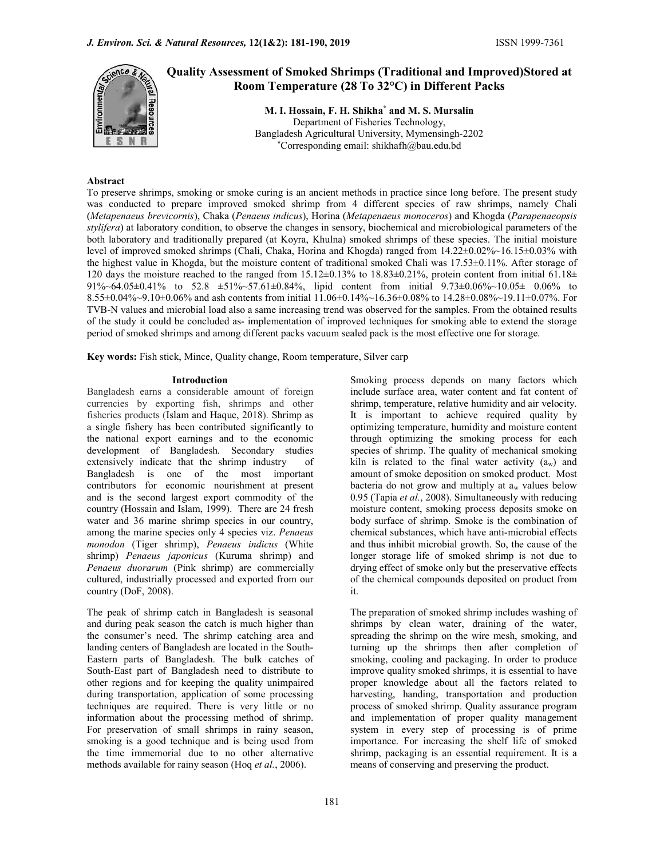

# Quality Assessment of Smoked Shrimps (Traditional and Improved)Stored at Room Temperature (28 To 32°C) in Different Packs

M. I. Hossain, F. H. Shikha\* and M. S. Mursalin Department of Fisheries Technology, Bangladesh Agricultural University, Mymensingh-2202 \*Corresponding email: shikhafh@bau.edu.bd

#### Abstract

To preserve shrimps, smoking or smoke curing is an ancient methods in practice since long before. The present study was conducted to prepare improved smoked shrimp from 4 different species of raw shrimps, namely Chali (Metapenaeus brevicornis), Chaka (Penaeus indicus), Horina (Metapenaeus monoceros) and Khogda (Parapenaeopsis stylifera) at laboratory condition, to observe the changes in sensory, biochemical and microbiological parameters of the both laboratory and traditionally prepared (at Koyra, Khulna) smoked shrimps of these species. The initial moisture level of improved smoked shrimps (Chali, Chaka, Horina and Khogda) ranged from 14.22±0.02%~16.15±0.03% with the highest value in Khogda, but the moisture content of traditional smoked Chali was 17.53±0.11%. After storage of 120 days the moisture reached to the ranged from  $15.12\pm0.13\%$  to  $18.83\pm0.21\%$ , protein content from initial 61.18 $\pm$ 91%~64.05±0.41% to 52.8 ±51%~57.61±0.84%, lipid content from initial 9.73±0.06%~10.05± 0.06% to 8.55±0.04%~9.10±0.06% and ash contents from initial 11.06±0.14%~16.36±0.08% to 14.28±0.08%~19.11±0.07%. For TVB-N values and microbial load also a same increasing trend was observed for the samples. From the obtained results of the study it could be concluded as- implementation of improved techniques for smoking able to extend the storage period of smoked shrimps and among different packs vacuum sealed pack is the most effective one for storage.

Key words: Fish stick, Mince, Quality change, Room temperature, Silver carp

#### Introduction

Bangladesh earns a considerable amount of foreign currencies by exporting fish, shrimps and other fisheries products (Islam and Haque, 2018). Shrimp as a single fishery has been contributed significantly to the national export earnings and to the economic development of Bangladesh. Secondary studies extensively indicate that the shrimp industry of Bangladesh is one of the most important contributors for economic nourishment at present and is the second largest export commodity of the country (Hossain and Islam, 1999). There are 24 fresh water and 36 marine shrimp species in our country, among the marine species only 4 species viz. Penaeus monodon (Tiger shrimp), Penaeus indicus (White shrimp) Penaeus japonicus (Kuruma shrimp) and Penaeus duorarum (Pink shrimp) are commercially cultured, industrially processed and exported from our country (DoF, 2008).

The peak of shrimp catch in Bangladesh is seasonal and during peak season the catch is much higher than the consumer's need. The shrimp catching area and landing centers of Bangladesh are located in the South-Eastern parts of Bangladesh. The bulk catches of South-East part of Bangladesh need to distribute to other regions and for keeping the quality unimpaired during transportation, application of some processing techniques are required. There is very little or no information about the processing method of shrimp. For preservation of small shrimps in rainy season, smoking is a good technique and is being used from the time immemorial due to no other alternative methods available for rainy season (Hoq et al., 2006).

Smoking process depends on many factors which include surface area, water content and fat content of shrimp, temperature, relative humidity and air velocity. It is important to achieve required quality by optimizing temperature, humidity and moisture content through optimizing the smoking process for each species of shrimp. The quality of mechanical smoking kiln is related to the final water activity  $(a_w)$  and amount of smoke deposition on smoked product. Most bacteria do not grow and multiply at  $a_w$  values below 0.95 (Tapia et al., 2008). Simultaneously with reducing moisture content, smoking process deposits smoke on body surface of shrimp. Smoke is the combination of chemical substances, which have anti-microbial effects and thus inhibit microbial growth. So, the cause of the longer storage life of smoked shrimp is not due to drying effect of smoke only but the preservative effects of the chemical compounds deposited on product from it.

The preparation of smoked shrimp includes washing of shrimps by clean water, draining of the water, spreading the shrimp on the wire mesh, smoking, and turning up the shrimps then after completion of smoking, cooling and packaging. In order to produce improve quality smoked shrimps, it is essential to have proper knowledge about all the factors related to harvesting, handing, transportation and production process of smoked shrimp. Quality assurance program and implementation of proper quality management system in every step of processing is of prime importance. For increasing the shelf life of smoked shrimp, packaging is an essential requirement. It is a means of conserving and preserving the product.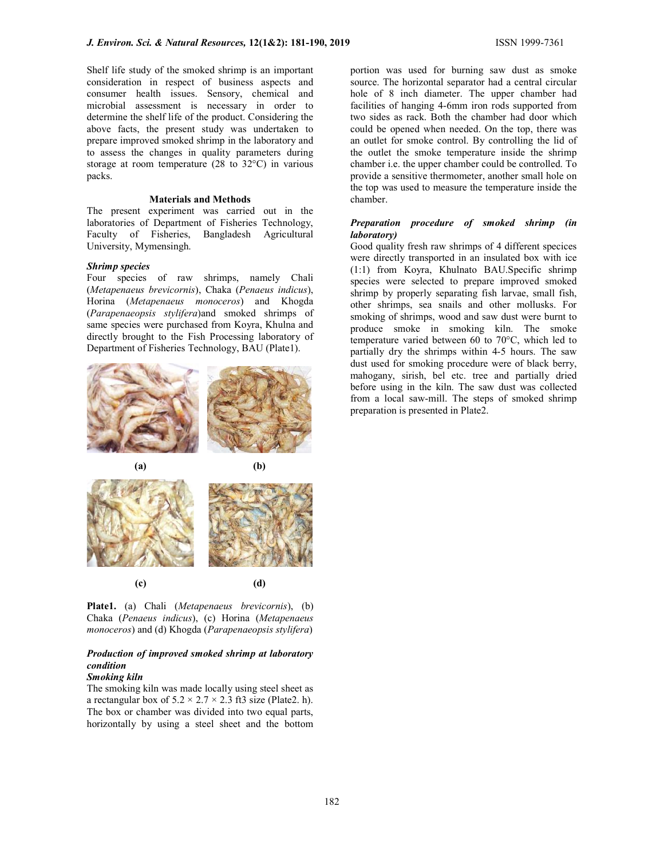Shelf life study of the smoked shrimp is an important consideration in respect of business aspects and consumer health issues. Sensory, chemical and microbial assessment is necessary in order to determine the shelf life of the product. Considering the above facts, the present study was undertaken to prepare improved smoked shrimp in the laboratory and to assess the changes in quality parameters during storage at room temperature (28 to 32°C) in various packs.

#### Materials and Methods

The present experiment was carried out in the laboratories of Department of Fisheries Technology, Faculty of Fisheries, Bangladesh Agricultural University, Mymensingh.

### Shrimp species

Four species of raw shrimps, namely Chali (Metapenaeus brevicornis), Chaka (Penaeus indicus), Horina (Metapenaeus monoceros) and Khogda (Parapenaeopsis stylifera)and smoked shrimps of same species were purchased from Koyra, Khulna and directly brought to the Fish Processing laboratory of Department of Fisheries Technology, BAU (Plate1).



Plate1. (a) Chali (Metapenaeus brevicornis), (b) Chaka (Penaeus indicus), (c) Horina (Metapenaeus monoceros) and (d) Khogda (Parapenaeopsis stylifera)

## Production of improved smoked shrimp at laboratory condition

### Smoking kiln

The smoking kiln was made locally using steel sheet as a rectangular box of  $5.2 \times 2.7 \times 2.3$  ft3 size (Plate2. h). The box or chamber was divided into two equal parts, horizontally by using a steel sheet and the bottom portion was used for burning saw dust as smoke source. The horizontal separator had a central circular hole of 8 inch diameter. The upper chamber had facilities of hanging 4-6mm iron rods supported from two sides as rack. Both the chamber had door which could be opened when needed. On the top, there was an outlet for smoke control. By controlling the lid of the outlet the smoke temperature inside the shrimp chamber i.e. the upper chamber could be controlled. To provide a sensitive thermometer, another small hole on the top was used to measure the temperature inside the chamber.

### Preparation procedure of smoked shrimp (in laboratory)

Good quality fresh raw shrimps of 4 different specices were directly transported in an insulated box with ice (1:1) from Koyra, Khulnato BAU.Specific shrimp species were selected to prepare improved smoked shrimp by properly separating fish larvae, small fish, other shrimps, sea snails and other mollusks. For smoking of shrimps, wood and saw dust were burnt to produce smoke in smoking kiln. The smoke temperature varied between 60 to 70°C, which led to partially dry the shrimps within 4-5 hours. The saw dust used for smoking procedure were of black berry, mahogany, sirish, bel etc. tree and partially dried before using in the kiln. The saw dust was collected from a local saw-mill. The steps of smoked shrimp preparation is presented in Plate2.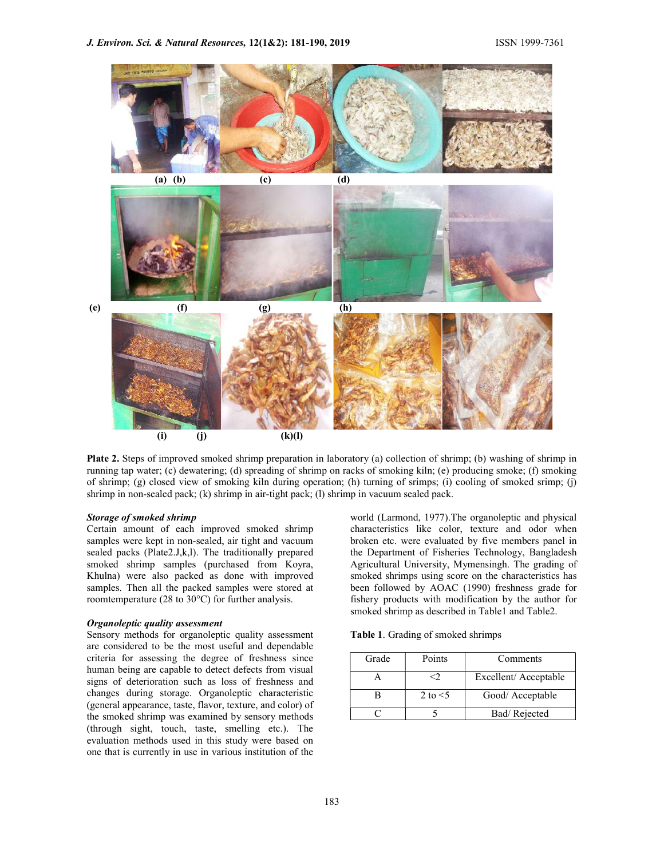

Plate 2. Steps of improved smoked shrimp preparation in laboratory (a) collection of shrimp; (b) washing of shrimp in running tap water; (c) dewatering; (d) spreading of shrimp on racks of smoking kiln; (e) producing smoke; (f) smoking of shrimp; (g) closed view of smoking kiln during operation; (h) turning of srimps; (i) cooling of smoked srimp; (j) shrimp in non-sealed pack; (k) shrimp in air-tight pack; (l) shrimp in vacuum sealed pack.

#### Storage of smoked shrimp

Certain amount of each improved smoked shrimp samples were kept in non-sealed, air tight and vacuum sealed packs (Plate2.J,k,l). The traditionally prepared smoked shrimp samples (purchased from Koyra, Khulna) were also packed as done with improved samples. Then all the packed samples were stored at roomtemperature (28 to 30°C) for further analysis.

#### Organoleptic quality assessment

Sensory methods for organoleptic quality assessment are considered to be the most useful and dependable criteria for assessing the degree of freshness since human being are capable to detect defects from visual signs of deterioration such as loss of freshness and changes during storage. Organoleptic characteristic (general appearance, taste, flavor, texture, and color) of the smoked shrimp was examined by sensory methods (through sight, touch, taste, smelling etc.). The evaluation methods used in this study were based on one that is currently in use in various institution of the

world (Larmond, 1977).The organoleptic and physical characteristics like color, texture and odor when broken etc. were evaluated by five members panel in the Department of Fisheries Technology, Bangladesh Agricultural University, Mymensingh. The grading of smoked shrimps using score on the characteristics has been followed by AOAC (1990) freshness grade for fishery products with modification by the author for smoked shrimp as described in Table1 and Table2.

Table 1. Grading of smoked shrimps

| Grade | Points     | Comments             |
|-------|------------|----------------------|
|       |            | Excellent/Acceptable |
|       | 2 to $<$ 5 | Good/ Acceptable     |
|       |            | Bad/Rejected         |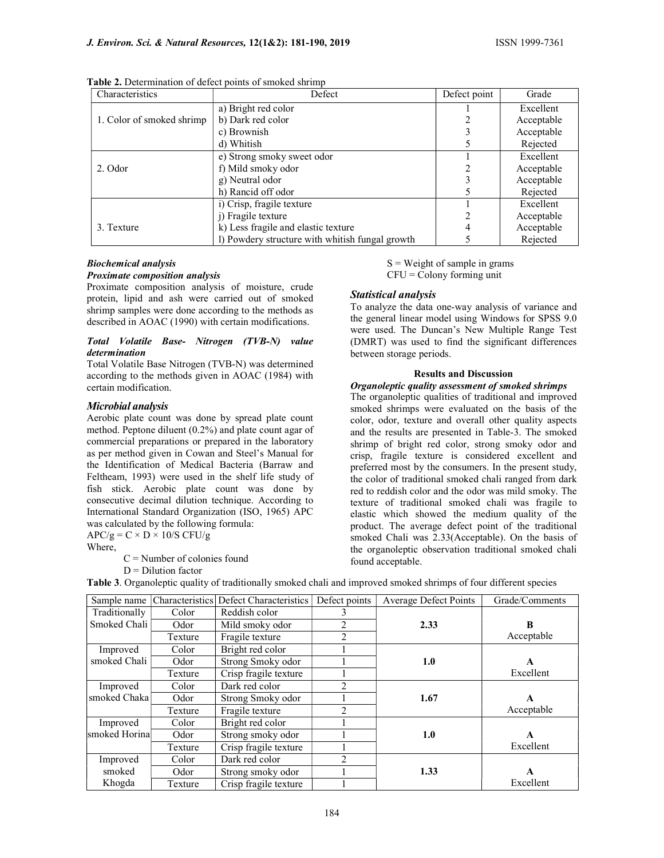| Characteristics           | Defect                              | Defect point | Grade      |
|---------------------------|-------------------------------------|--------------|------------|
|                           | a) Bright red color                 |              | Excellent  |
| 1. Color of smoked shrimp | b) Dark red color                   |              | Acceptable |
|                           | c) Brownish                         |              | Acceptable |
|                           | d) Whitish                          |              | Rejected   |
|                           | e) Strong smoky sweet odor          |              | Excellent  |
| 2. Odor                   | f) Mild smoky odor                  |              | Acceptable |
|                           | g) Neutral odor                     |              | Acceptable |
|                           | h) Rancid off odor                  |              | Rejected   |
|                           | i) Crisp, fragile texture           |              | Excellent  |
|                           | j) Fragile texture                  |              | Acceptable |
| 3. Texture                | k) Less fragile and elastic texture |              | Acceptable |
|                           |                                     | Rejected     |            |

Table 2. Determination of defect points of smoked shrimp

#### Biochemical analysis Proximate composition analysis

Proximate composition analysis of moisture, crude protein, lipid and ash were carried out of smoked shrimp samples were done according to the methods as described in AOAC (1990) with certain modifications.

#### Total Volatile Base- Nitrogen (TVB-N) value determination

Total Volatile Base Nitrogen (TVB-N) was determined according to the methods given in AOAC (1984) with certain modification.

#### Microbial analysis

Aerobic plate count was done by spread plate count method. Peptone diluent (0.2%) and plate count agar of commercial preparations or prepared in the laboratory as per method given in Cowan and Steel's Manual for the Identification of Medical Bacteria (Barraw and Feltheam, 1993) were used in the shelf life study of fish stick. Aerobic plate count was done by consecutive decimal dilution technique. According to International Standard Organization (ISO, 1965) APC was calculated by the following formula:

 $APC/g = C \times D \times 10/S CFU/g$ 

Where,

 $C =$  Number of colonies found

 $D = Dilution factor$ 

 $S = Weight of sample in grams$  $CFU = Colony$  forming unit

#### Statistical analysis

To analyze the data one-way analysis of variance and the general linear model using Windows for SPSS 9.0 were used. The Duncan's New Multiple Range Test (DMRT) was used to find the significant differences between storage periods.

### Results and Discussion

#### Organoleptic quality assessment of smoked shrimps

The organoleptic qualities of traditional and improved smoked shrimps were evaluated on the basis of the color, odor, texture and overall other quality aspects and the results are presented in Table-3. The smoked shrimp of bright red color, strong smoky odor and crisp, fragile texture is considered excellent and preferred most by the consumers. In the present study, the color of traditional smoked chali ranged from dark red to reddish color and the odor was mild smoky. The texture of traditional smoked chali was fragile to elastic which showed the medium quality of the product. The average defect point of the traditional smoked Chali was 2.33(Acceptable). On the basis of the organoleptic observation traditional smoked chali found acceptable.

| Sample name   | Characteristics | Defect Characteristics | Defect points | Average Defect Points | Grade/Comments |
|---------------|-----------------|------------------------|---------------|-----------------------|----------------|
| Traditionally | Color           | Reddish color          |               |                       |                |
| Smoked Chali  | Odor            | Mild smoky odor        | 2             | 2.33                  | B              |
|               | Texture         | Fragile texture        | 2             |                       | Acceptable     |
| Improved      | Color           | Bright red color       |               |                       |                |
| smoked Chali  | Odor            | Strong Smoky odor      |               | 1.0                   | A              |
|               | Texture         | Crisp fragile texture  |               |                       | Excellent      |
| Improved      | Color           | Dark red color         | 2             |                       |                |
| smoked Chaka  | Odor            | Strong Smoky odor      |               | 1.67                  | A              |
|               | Texture         | Fragile texture        | 2             |                       | Acceptable     |
| Improved      | Color           | Bright red color       |               |                       |                |
| smoked Horina | Odor            | Strong smoky odor      |               | 1.0                   | A              |
|               | Texture         | Crisp fragile texture  |               |                       | Excellent      |
| Improved      | Color           | Dark red color         | 2             |                       |                |
| smoked        | Odor            | Strong smoky odor      |               | 1.33                  | A              |
| Khogda        | Texture         | Crisp fragile texture  |               |                       | Excellent      |

Table 3. Organoleptic quality of traditionally smoked chali and improved smoked shrimps of four different species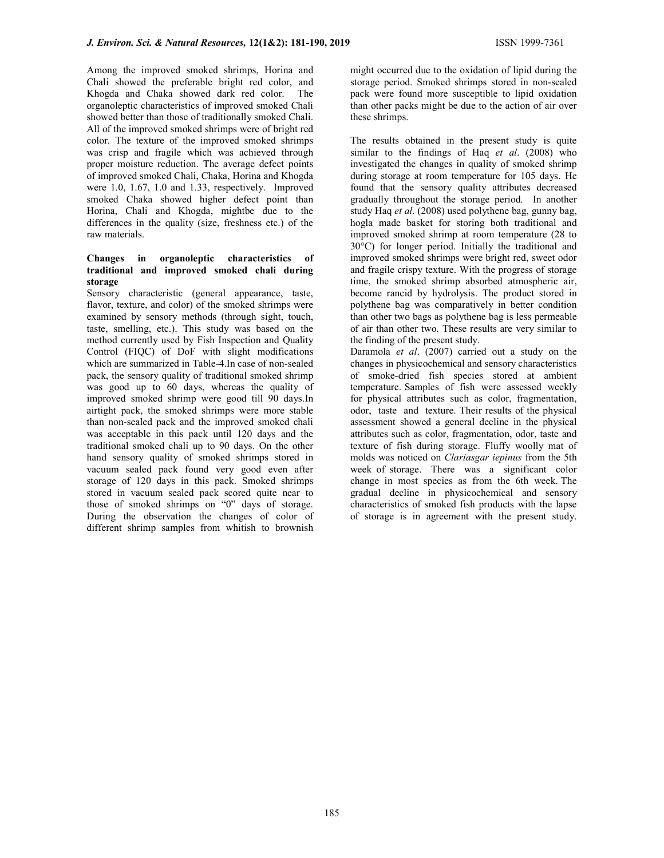Among the improved smoked shrimps, Horina and Chali showed the preferable bright red color, and Khogda and Chaka showed dark red color. The organoleptic characteristics of improved smoked Chali showed better than those of traditionally smoked Chali. All of the improved smoked shrimps were of bright red color. The texture of the improved smoked shrimps was crisp and fragile which was achieved through proper moisture reduction. The average defect points of improved smoked Chali, Chaka, Horina and Khogda were 1.0, 1.67, 1.0 and 1.33, respectively. Improved smoked Chaka showed higher defect point than Horina, Chali and Khogda, mightbe due to the differences in the quality (size, freshness etc.) of the raw materials.

## Changes in organoleptic characteristics of traditional and improved smoked chali during storage

Sensory characteristic (general appearance, taste, flavor, texture, and color) of the smoked shrimps were examined by sensory methods (through sight, touch, taste, smelling, etc.). This study was based on the method currently used by Fish Inspection and Quality Control (FIQC) of DoF with slight modifications which are summarized in Table-4.In case of non-sealed pack, the sensory quality of traditional smoked shrimp was good up to 60 days, whereas the quality of improved smoked shrimp were good till 90 days.In airtight pack, the smoked shrimps were more stable than non-sealed pack and the improved smoked chali was acceptable in this pack until 120 days and the traditional smoked chali up to 90 days. On the other hand sensory quality of smoked shrimps stored in vacuum sealed pack found very good even after storage of 120 days in this pack. Smoked shrimps stored in vacuum sealed pack scored quite near to those of smoked shrimps on "0" days of storage. During the observation the changes of color of different shrimp samples from whitish to brownish might occurred due to the oxidation of lipid during the storage period. Smoked shrimps stored in non-sealed pack were found more susceptible to lipid oxidation than other packs might be due to the action of air over these shrimps.

The results obtained in the present study is quite similar to the findings of Haq *et al.*  $(2008)$  who investigated the changes in quality of smoked shrimp during storage at room temperature for 105 days. He found that the sensory quality attributes decreased gradually throughout the storage period. In another study Haq et al. (2008) used polythene bag, gunny bag, hogla made basket for storing both traditional and improved smoked shrimp at room temperature (28 to 30°C) for longer period. Initially the traditional and improved smoked shrimps were bright red, sweet odor and fragile crispy texture. With the progress of storage time, the smoked shrimp absorbed atmospheric air, become rancid by hydrolysis. The product stored in polythene bag was comparatively in better condition than other two bags as polythene bag is less permeable of air than other two. These results are very similar to the finding of the present study.

Daramola et al. (2007) carried out a study on the changes in physicochemical and sensory characteristics of smoke-dried fish species stored at ambient temperature. Samples of fish were assessed weekly for physical attributes such as color, fragmentation, odor, taste and texture. Their results of the physical assessment showed a general decline in the physical attributes such as color, fragmentation, odor, taste and texture of fish during storage. Fluffy woolly mat of molds was noticed on Clariasgar iepinus from the 5th week of storage. There was a significant color change in most species as from the 6th week. The gradual decline in physicochemical and sensory characteristics of smoked fish products with the lapse of storage is in agreement with the present study.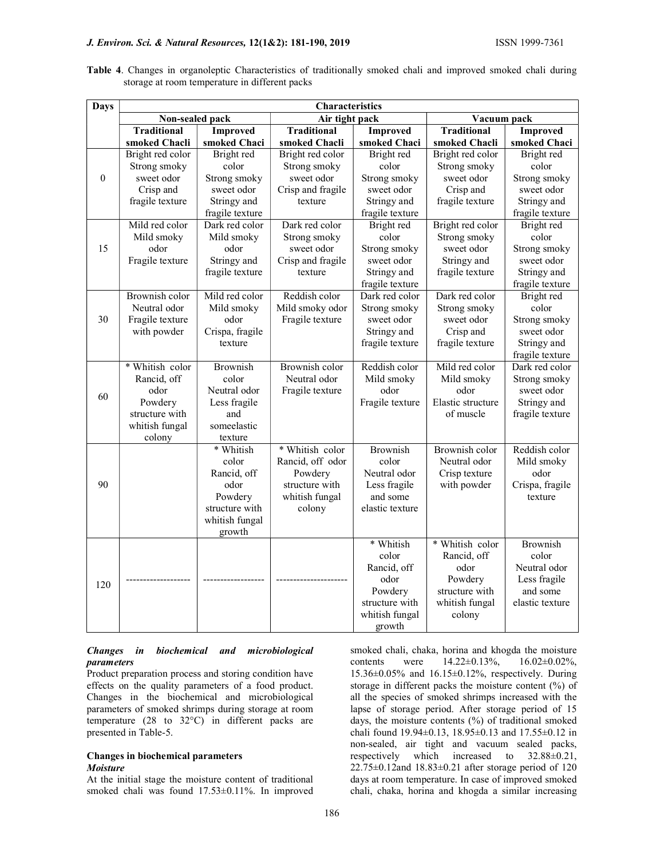## J. Environ. Sci. & Natural Resources, 12(1&2): 181-190, 2019 ISSN 1999-7361

Table 4. Changes in organoleptic Characteristics of traditionally smoked chali and improved smoked chali during storage at room temperature in different packs

| <b>Days</b>  | <b>Characteristics</b>                                                                          |                                                                                                                                                                                                 |                                                                                                                                                   |                                                                                                                                                                                                                                                         |                                                                                                                                                                                                                                             |                                                                                                                                                                                                                                                                   |  |  |  |
|--------------|-------------------------------------------------------------------------------------------------|-------------------------------------------------------------------------------------------------------------------------------------------------------------------------------------------------|---------------------------------------------------------------------------------------------------------------------------------------------------|---------------------------------------------------------------------------------------------------------------------------------------------------------------------------------------------------------------------------------------------------------|---------------------------------------------------------------------------------------------------------------------------------------------------------------------------------------------------------------------------------------------|-------------------------------------------------------------------------------------------------------------------------------------------------------------------------------------------------------------------------------------------------------------------|--|--|--|
|              | Non-sealed pack                                                                                 |                                                                                                                                                                                                 | Air tight pack                                                                                                                                    |                                                                                                                                                                                                                                                         | Vacuum pack                                                                                                                                                                                                                                 |                                                                                                                                                                                                                                                                   |  |  |  |
|              | <b>Traditional</b>                                                                              | <b>Improved</b>                                                                                                                                                                                 | <b>Traditional</b>                                                                                                                                | <b>Improved</b>                                                                                                                                                                                                                                         | <b>Traditional</b>                                                                                                                                                                                                                          | <b>Improved</b>                                                                                                                                                                                                                                                   |  |  |  |
|              | smoked Chacli                                                                                   | smoked Chaci                                                                                                                                                                                    | smoked Chacli                                                                                                                                     | smoked Chaci                                                                                                                                                                                                                                            | smoked Chacli                                                                                                                                                                                                                               | smoked Chaci                                                                                                                                                                                                                                                      |  |  |  |
|              | Bright red color                                                                                | Bright red                                                                                                                                                                                      | Bright red color                                                                                                                                  | Bright red                                                                                                                                                                                                                                              | Bright red color                                                                                                                                                                                                                            | Bright red                                                                                                                                                                                                                                                        |  |  |  |
|              | Strong smoky                                                                                    | color                                                                                                                                                                                           | Strong smoky                                                                                                                                      | color                                                                                                                                                                                                                                                   | Strong smoky                                                                                                                                                                                                                                | color                                                                                                                                                                                                                                                             |  |  |  |
| $\mathbf{0}$ | sweet odor                                                                                      | Strong smoky                                                                                                                                                                                    | sweet odor                                                                                                                                        | Strong smoky                                                                                                                                                                                                                                            | sweet odor                                                                                                                                                                                                                                  | Strong smoky                                                                                                                                                                                                                                                      |  |  |  |
|              | Crisp and                                                                                       | sweet odor                                                                                                                                                                                      | Crisp and fragile                                                                                                                                 | sweet odor                                                                                                                                                                                                                                              | Crisp and                                                                                                                                                                                                                                   | sweet odor                                                                                                                                                                                                                                                        |  |  |  |
|              | fragile texture                                                                                 | Stringy and                                                                                                                                                                                     | texture                                                                                                                                           | Stringy and                                                                                                                                                                                                                                             | fragile texture                                                                                                                                                                                                                             | Stringy and                                                                                                                                                                                                                                                       |  |  |  |
|              |                                                                                                 | fragile texture                                                                                                                                                                                 |                                                                                                                                                   | fragile texture                                                                                                                                                                                                                                         |                                                                                                                                                                                                                                             | fragile texture                                                                                                                                                                                                                                                   |  |  |  |
|              | Mild red color                                                                                  | Dark red color                                                                                                                                                                                  | Dark red color                                                                                                                                    | Bright red                                                                                                                                                                                                                                              | Bright red color                                                                                                                                                                                                                            | Bright red                                                                                                                                                                                                                                                        |  |  |  |
|              | Mild smoky                                                                                      | Mild smoky                                                                                                                                                                                      | Strong smoky                                                                                                                                      | color                                                                                                                                                                                                                                                   | Strong smoky                                                                                                                                                                                                                                | color                                                                                                                                                                                                                                                             |  |  |  |
| 15           | odor                                                                                            | odor                                                                                                                                                                                            | sweet odor                                                                                                                                        | Strong smoky                                                                                                                                                                                                                                            | sweet odor                                                                                                                                                                                                                                  | Strong smoky                                                                                                                                                                                                                                                      |  |  |  |
|              | Fragile texture                                                                                 | Stringy and                                                                                                                                                                                     | Crisp and fragile                                                                                                                                 | sweet odor                                                                                                                                                                                                                                              | Stringy and                                                                                                                                                                                                                                 | sweet odor                                                                                                                                                                                                                                                        |  |  |  |
|              |                                                                                                 | fragile texture                                                                                                                                                                                 | texture                                                                                                                                           | Stringy and                                                                                                                                                                                                                                             | fragile texture                                                                                                                                                                                                                             | Stringy and                                                                                                                                                                                                                                                       |  |  |  |
|              |                                                                                                 |                                                                                                                                                                                                 |                                                                                                                                                   | fragile texture                                                                                                                                                                                                                                         |                                                                                                                                                                                                                                             | fragile texture                                                                                                                                                                                                                                                   |  |  |  |
|              | Brownish color                                                                                  | Mild red color                                                                                                                                                                                  | Reddish color                                                                                                                                     | Dark red color                                                                                                                                                                                                                                          | Dark red color                                                                                                                                                                                                                              | Bright red                                                                                                                                                                                                                                                        |  |  |  |
|              | Neutral odor                                                                                    | Mild smoky                                                                                                                                                                                      | Mild smoky odor                                                                                                                                   | Strong smoky                                                                                                                                                                                                                                            | Strong smoky                                                                                                                                                                                                                                | color                                                                                                                                                                                                                                                             |  |  |  |
| 30           | Fragile texture                                                                                 | odor                                                                                                                                                                                            | Fragile texture                                                                                                                                   | sweet odor                                                                                                                                                                                                                                              | sweet odor                                                                                                                                                                                                                                  | Strong smoky                                                                                                                                                                                                                                                      |  |  |  |
|              | with powder                                                                                     | Crispa, fragile                                                                                                                                                                                 |                                                                                                                                                   | Stringy and                                                                                                                                                                                                                                             | Crisp and                                                                                                                                                                                                                                   | sweet odor                                                                                                                                                                                                                                                        |  |  |  |
|              |                                                                                                 | texture                                                                                                                                                                                         |                                                                                                                                                   | fragile texture                                                                                                                                                                                                                                         | fragile texture                                                                                                                                                                                                                             | Stringy and                                                                                                                                                                                                                                                       |  |  |  |
|              |                                                                                                 |                                                                                                                                                                                                 |                                                                                                                                                   |                                                                                                                                                                                                                                                         |                                                                                                                                                                                                                                             |                                                                                                                                                                                                                                                                   |  |  |  |
|              |                                                                                                 |                                                                                                                                                                                                 |                                                                                                                                                   |                                                                                                                                                                                                                                                         |                                                                                                                                                                                                                                             |                                                                                                                                                                                                                                                                   |  |  |  |
|              |                                                                                                 |                                                                                                                                                                                                 |                                                                                                                                                   |                                                                                                                                                                                                                                                         |                                                                                                                                                                                                                                             |                                                                                                                                                                                                                                                                   |  |  |  |
| 60           |                                                                                                 |                                                                                                                                                                                                 |                                                                                                                                                   |                                                                                                                                                                                                                                                         |                                                                                                                                                                                                                                             |                                                                                                                                                                                                                                                                   |  |  |  |
|              |                                                                                                 |                                                                                                                                                                                                 |                                                                                                                                                   |                                                                                                                                                                                                                                                         |                                                                                                                                                                                                                                             |                                                                                                                                                                                                                                                                   |  |  |  |
|              |                                                                                                 |                                                                                                                                                                                                 |                                                                                                                                                   |                                                                                                                                                                                                                                                         |                                                                                                                                                                                                                                             |                                                                                                                                                                                                                                                                   |  |  |  |
|              |                                                                                                 |                                                                                                                                                                                                 |                                                                                                                                                   |                                                                                                                                                                                                                                                         |                                                                                                                                                                                                                                             |                                                                                                                                                                                                                                                                   |  |  |  |
|              |                                                                                                 |                                                                                                                                                                                                 |                                                                                                                                                   |                                                                                                                                                                                                                                                         |                                                                                                                                                                                                                                             |                                                                                                                                                                                                                                                                   |  |  |  |
|              |                                                                                                 |                                                                                                                                                                                                 |                                                                                                                                                   |                                                                                                                                                                                                                                                         |                                                                                                                                                                                                                                             |                                                                                                                                                                                                                                                                   |  |  |  |
|              |                                                                                                 |                                                                                                                                                                                                 |                                                                                                                                                   |                                                                                                                                                                                                                                                         |                                                                                                                                                                                                                                             |                                                                                                                                                                                                                                                                   |  |  |  |
|              |                                                                                                 |                                                                                                                                                                                                 |                                                                                                                                                   |                                                                                                                                                                                                                                                         |                                                                                                                                                                                                                                             |                                                                                                                                                                                                                                                                   |  |  |  |
|              |                                                                                                 |                                                                                                                                                                                                 |                                                                                                                                                   |                                                                                                                                                                                                                                                         |                                                                                                                                                                                                                                             |                                                                                                                                                                                                                                                                   |  |  |  |
|              |                                                                                                 |                                                                                                                                                                                                 |                                                                                                                                                   |                                                                                                                                                                                                                                                         |                                                                                                                                                                                                                                             |                                                                                                                                                                                                                                                                   |  |  |  |
|              |                                                                                                 |                                                                                                                                                                                                 |                                                                                                                                                   |                                                                                                                                                                                                                                                         |                                                                                                                                                                                                                                             |                                                                                                                                                                                                                                                                   |  |  |  |
|              |                                                                                                 |                                                                                                                                                                                                 |                                                                                                                                                   |                                                                                                                                                                                                                                                         |                                                                                                                                                                                                                                             |                                                                                                                                                                                                                                                                   |  |  |  |
|              |                                                                                                 |                                                                                                                                                                                                 |                                                                                                                                                   |                                                                                                                                                                                                                                                         |                                                                                                                                                                                                                                             |                                                                                                                                                                                                                                                                   |  |  |  |
|              |                                                                                                 |                                                                                                                                                                                                 |                                                                                                                                                   |                                                                                                                                                                                                                                                         |                                                                                                                                                                                                                                             |                                                                                                                                                                                                                                                                   |  |  |  |
|              |                                                                                                 |                                                                                                                                                                                                 |                                                                                                                                                   |                                                                                                                                                                                                                                                         |                                                                                                                                                                                                                                             |                                                                                                                                                                                                                                                                   |  |  |  |
|              |                                                                                                 |                                                                                                                                                                                                 |                                                                                                                                                   |                                                                                                                                                                                                                                                         |                                                                                                                                                                                                                                             |                                                                                                                                                                                                                                                                   |  |  |  |
| 120          |                                                                                                 |                                                                                                                                                                                                 |                                                                                                                                                   |                                                                                                                                                                                                                                                         |                                                                                                                                                                                                                                             |                                                                                                                                                                                                                                                                   |  |  |  |
|              |                                                                                                 |                                                                                                                                                                                                 |                                                                                                                                                   |                                                                                                                                                                                                                                                         |                                                                                                                                                                                                                                             |                                                                                                                                                                                                                                                                   |  |  |  |
|              |                                                                                                 |                                                                                                                                                                                                 |                                                                                                                                                   |                                                                                                                                                                                                                                                         |                                                                                                                                                                                                                                             |                                                                                                                                                                                                                                                                   |  |  |  |
|              |                                                                                                 |                                                                                                                                                                                                 |                                                                                                                                                   |                                                                                                                                                                                                                                                         |                                                                                                                                                                                                                                             |                                                                                                                                                                                                                                                                   |  |  |  |
| 90           | * Whitish color<br>Rancid, off<br>odor<br>Powdery<br>structure with<br>whitish fungal<br>colony | <b>Brownish</b><br>color<br>Neutral odor<br>Less fragile<br>and<br>someelastic<br>texture<br>* Whitish<br>color<br>Rancid, off<br>odor<br>Powdery<br>structure with<br>whitish fungal<br>growth | Brownish color<br>Neutral odor<br>Fragile texture<br>* Whitish color<br>Rancid, off odor<br>Powdery<br>structure with<br>whitish fungal<br>colony | Reddish color<br>Mild smoky<br>odor<br>Fragile texture<br><b>Brownish</b><br>color<br>Neutral odor<br>Less fragile<br>and some<br>elastic texture<br>* Whitish<br>color<br>Rancid, off<br>odor<br>Powdery<br>structure with<br>whitish fungal<br>growth | Mild red color<br>Mild smoky<br>odor<br>Elastic structure<br>of muscle<br>Brownish color<br>Neutral odor<br>Crisp texture<br>with powder<br>* Whitish color<br>Rancid, off<br>odor<br>Powdery<br>structure with<br>whitish fungal<br>colony | fragile texture<br>Dark red color<br>Strong smoky<br>sweet odor<br>Stringy and<br>fragile texture<br>Reddish color<br>Mild smoky<br>odor<br>Crispa, fragile<br>texture<br><b>Brownish</b><br>color<br>Neutral odor<br>Less fragile<br>and some<br>elastic texture |  |  |  |

### Changes in biochemical and microbiological parameters

Product preparation process and storing condition have effects on the quality parameters of a food product. Changes in the biochemical and microbiological parameters of smoked shrimps during storage at room temperature (28 to 32°C) in different packs are presented in Table-5.

### Changes in biochemical parameters **Moisture**

At the initial stage the moisture content of traditional smoked chali was found 17.53±0.11%. In improved smoked chali, chaka, horina and khogda the moisture contents were 14.22±0.13%, 16.02±0.02%, 15.36±0.05% and 16.15±0.12%, respectively. During storage in different packs the moisture content (%) of all the species of smoked shrimps increased with the lapse of storage period. After storage period of 15 days, the moisture contents (%) of traditional smoked chali found 19.94±0.13, 18.95±0.13 and 17.55±0.12 in non-sealed, air tight and vacuum sealed packs, respectively which increased to 32.88±0.21, 22.75±0.12and 18.83±0.21 after storage period of 120 days at room temperature. In case of improved smoked chali, chaka, horina and khogda a similar increasing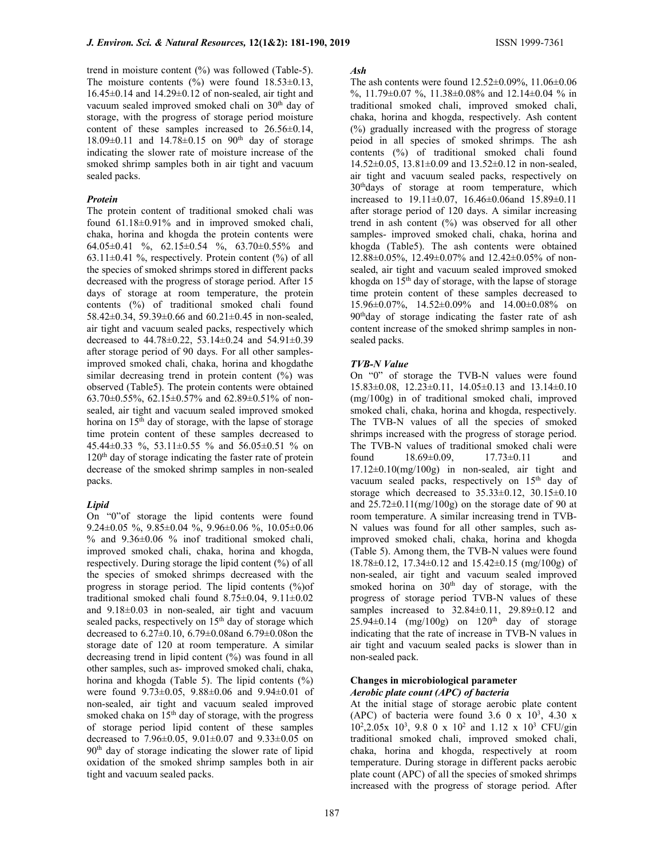trend in moisture content (%) was followed (Table-5). The moisture contents  $(\%)$  were found  $18.53\pm0.13$ , 16.45±0.14 and 14.29±0.12 of non-sealed, air tight and vacuum sealed improved smoked chali on 30<sup>th</sup> day of storage, with the progress of storage period moisture content of these samples increased to 26.56±0.14,  $18.09\pm0.11$  and  $14.78\pm0.15$  on 90<sup>th</sup> day of storage indicating the slower rate of moisture increase of the smoked shrimp samples both in air tight and vacuum sealed packs.

### Protein

The protein content of traditional smoked chali was found 61.18±0.91% and in improved smoked chali, chaka, horina and khogda the protein contents were 64.05±0.41 %, 62.15±0.54 %, 63.70±0.55% and  $63.11\pm0.41$  %, respectively. Protein content (%) of all the species of smoked shrimps stored in different packs decreased with the progress of storage period. After 15 days of storage at room temperature, the protein contents (%) of traditional smoked chali found 58.42±0.34, 59.39±0.66 and 60.21±0.45 in non-sealed, air tight and vacuum sealed packs, respectively which decreased to 44.78±0.22, 53.14±0.24 and 54.91±0.39 after storage period of 90 days. For all other samplesimproved smoked chali, chaka, horina and khogdathe similar decreasing trend in protein content (%) was observed (Table5). The protein contents were obtained 63.70±0.55%, 62.15±0.57% and 62.89±0.51% of nonsealed, air tight and vacuum sealed improved smoked horina on  $15<sup>th</sup>$  day of storage, with the lapse of storage time protein content of these samples decreased to 45.44±0.33 %, 53.11±0.55 % and 56.05±0.51 % on  $120<sup>th</sup>$  day of storage indicating the faster rate of protein decrease of the smoked shrimp samples in non-sealed packs.

#### Lipid

On "0"of storage the lipid contents were found 9.24±0.05 %, 9.85±0.04 %, 9.96±0.06 %, 10.05±0.06 % and  $9.36\pm0.06$  % inof traditional smoked chali, improved smoked chali, chaka, horina and khogda, respectively. During storage the lipid content (%) of all the species of smoked shrimps decreased with the progress in storage period. The lipid contents (%)of traditional smoked chali found  $8.75\pm0.04$ ,  $9.11\pm0.02$ and 9.18±0.03 in non-sealed, air tight and vacuum sealed packs, respectively on 15<sup>th</sup> day of storage which decreased to 6.27±0.10, 6.79±0.08and 6.79±0.08on the storage date of 120 at room temperature. A similar decreasing trend in lipid content (%) was found in all other samples, such as- improved smoked chali, chaka, horina and khogda (Table 5). The lipid contents (%) were found 9.73±0.05, 9.88±0.06 and 9.94±0.01 of non-sealed, air tight and vacuum sealed improved smoked chaka on  $15<sup>th</sup>$  day of storage, with the progress of storage period lipid content of these samples decreased to 7.96±0.05, 9.01±0.07 and 9.33±0.05 on 90th day of storage indicating the slower rate of lipid oxidation of the smoked shrimp samples both in air tight and vacuum sealed packs.

#### Ash

The ash contents were found 12.52±0.09%, 11.06±0.06 %, 11.79±0.07 %, 11.38±0.08% and 12.14±0.04 % in traditional smoked chali, improved smoked chali, chaka, horina and khogda, respectively. Ash content (%) gradually increased with the progress of storage peiod in all species of smoked shrimps. The ash contents (%) of traditional smoked chali found 14.52±0.05, 13.81±0.09 and 13.52±0.12 in non-sealed, air tight and vacuum sealed packs, respectively on 30thdays of storage at room temperature, which increased to 19.11±0.07, 16.46±0.06and 15.89±0.11 after storage period of 120 days. A similar increasing trend in ash content (%) was observed for all other samples- improved smoked chali, chaka, horina and khogda (Table5). The ash contents were obtained 12.88±0.05%, 12.49±0.07% and 12.42±0.05% of nonsealed, air tight and vacuum sealed improved smoked khogda on  $15<sup>th</sup>$  day of storage, with the lapse of storage time protein content of these samples decreased to 15.96±0.07%, 14.52±0.09% and 14.00±0.08% on 90thday of storage indicating the faster rate of ash content increase of the smoked shrimp samples in nonsealed packs.

## TVB-N Value

On "0" of storage the TVB-N values were found 15.83±0.08, 12.23±0.11, 14.05±0.13 and 13.14±0.10 (mg/100g) in of traditional smoked chali, improved smoked chali, chaka, horina and khogda, respectively. The TVB-N values of all the species of smoked shrimps increased with the progress of storage period. The TVB-N values of traditional smoked chali were found 18.69±0.09, 17.73±0.11 and  $17.12\pm0.10$ (mg/100g) in non-sealed, air tight and vacuum sealed packs, respectively on  $15<sup>th</sup>$  day of storage which decreased to 35.33±0.12, 30.15±0.10 and 25.72±0.11(mg/100g) on the storage date of 90 at room temperature. A similar increasing trend in TVB-N values was found for all other samples, such asimproved smoked chali, chaka, horina and khogda (Table 5). Among them, the TVB-N values were found  $18.78\pm0.12$ ,  $17.34\pm0.12$  and  $15.42\pm0.15$  (mg/100g) of non-sealed, air tight and vacuum sealed improved smoked horina on  $30<sup>th</sup>$  day of storage, with the progress of storage period TVB-N values of these samples increased to 32.84±0.11, 29.89±0.12 and  $25.94\pm0.14$  (mg/100g) on  $120<sup>th</sup>$  day of storage indicating that the rate of increase in TVB-N values in air tight and vacuum sealed packs is slower than in non-sealed pack.

#### Changes in microbiological parameter Aerobic plate count (APC) of bacteria

At the initial stage of storage aerobic plate content (APC) of bacteria were found  $3.6$  0 x  $10^3$ ,  $4.30$  x 10<sup>2</sup> ,2.05x 10<sup>3</sup> , 9.8 0 x 10<sup>2</sup> and 1.12 x 10<sup>3</sup> CFU/gin traditional smoked chali, improved smoked chali, chaka, horina and khogda, respectively at room temperature. During storage in different packs aerobic plate count (APC) of all the species of smoked shrimps increased with the progress of storage period. After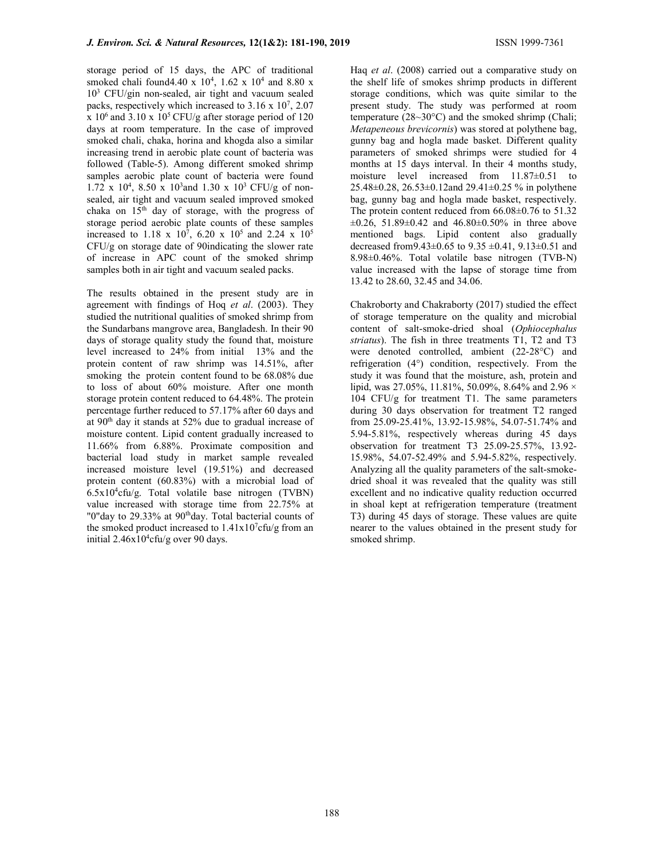storage period of 15 days, the APC of traditional smoked chali found 4.40 x  $10^4$ , 1.62 x  $10^4$  and 8.80 x 10<sup>3</sup> CFU/gin non-sealed, air tight and vacuum sealed packs, respectively which increased to  $3.16 \times 10^7$ ,  $2.07$ x  $10<sup>6</sup>$  and 3.10 x  $10<sup>5</sup>$  CFU/g after storage period of 120 days at room temperature. In the case of improved smoked chali, chaka, horina and khogda also a similar increasing trend in aerobic plate count of bacteria was followed (Table-5). Among different smoked shrimp samples aerobic plate count of bacteria were found 1.72 x 10<sup>4</sup>, 8.50 x 10<sup>3</sup> and 1.30 x 10<sup>3</sup> CFU/g of nonsealed, air tight and vacuum sealed improved smoked chaka on  $15<sup>th</sup>$  day of storage, with the progress of storage period aerobic plate counts of these samples increased to 1.18 x 10<sup>7</sup>, 6.20 x 10<sup>5</sup> and 2.24 x 10<sup>5</sup> CFU/g on storage date of 90indicating the slower rate of increase in APC count of the smoked shrimp samples both in air tight and vacuum sealed packs.

The results obtained in the present study are in agreement with findings of Hoq et al. (2003). They studied the nutritional qualities of smoked shrimp from the Sundarbans mangrove area, Bangladesh. In their 90 days of storage quality study the found that, moisture level increased to 24% from initial 13% and the protein content of raw shrimp was 14.51%, after smoking the protein content found to be 68.08% due to loss of about 60% moisture. After one month storage protein content reduced to 64.48%. The protein percentage further reduced to 57.17% after 60 days and at 90<sup>th</sup> day it stands at 52% due to gradual increase of moisture content. Lipid content gradually increased to 11.66% from 6.88%. Proximate composition and bacterial load study in market sample revealed increased moisture level (19.51%) and decreased protein content (60.83%) with a microbial load of  $6.5x10<sup>4</sup>$ cfu/g. Total volatile base nitrogen (TVBN) value increased with storage time from 22.75% at "0"day to 29.33% at 90<sup>th</sup>day. Total bacterial counts of the smoked product increased to  $1.41x10<sup>7</sup>c$  fu/g from an initial  $2.46x10^4$ cfu/g over 90 days.

Haq et al. (2008) carried out a comparative study on the shelf life of smokes shrimp products in different storage conditions, which was quite similar to the present study. The study was performed at room temperature (28~30°C) and the smoked shrimp (Chali; Metapeneous brevicornis) was stored at polythene bag, gunny bag and hogla made basket. Different quality parameters of smoked shrimps were studied for 4 months at 15 days interval. In their 4 months study, moisture level increased from 11.87±0.51 to 25.48±0.28, 26.53±0.12and 29.41±0.25 % in polythene bag, gunny bag and hogla made basket, respectively. The protein content reduced from 66.08±0.76 to 51.32  $\pm 0.26$ , 51.89 $\pm 0.42$  and 46.80 $\pm 0.50\%$  in three above mentioned bags. Lipid content also gradually decreased from9.43±0.65 to 9.35 ±0.41, 9.13±0.51 and 8.98±0.46%. Total volatile base nitrogen (TVB-N) value increased with the lapse of storage time from 13.42 to 28.60, 32.45 and 34.06.

Chakroborty and Chakraborty (2017) studied the effect of storage temperature on the quality and microbial content of salt-smoke-dried shoal (Ophiocephalus striatus). The fish in three treatments T1, T2 and T3 were denoted controlled, ambient (22-28°C) and refrigeration (4°) condition, respectively. From the study it was found that the moisture, ash, protein and lipid, was 27.05%, 11.81%, 50.09%, 8.64% and 2.96  $\times$ 104 CFU/g for treatment T1. The same parameters during 30 days observation for treatment T2 ranged from 25.09-25.41%, 13.92-15.98%, 54.07-51.74% and 5.94-5.81%, respectively whereas during 45 days observation for treatment T3 25.09-25.57%, 13.92- 15.98%, 54.07-52.49% and 5.94-5.82%, respectively. Analyzing all the quality parameters of the salt-smokedried shoal it was revealed that the quality was still excellent and no indicative quality reduction occurred in shoal kept at refrigeration temperature (treatment T3) during 45 days of storage. These values are quite nearer to the values obtained in the present study for smoked shrimp.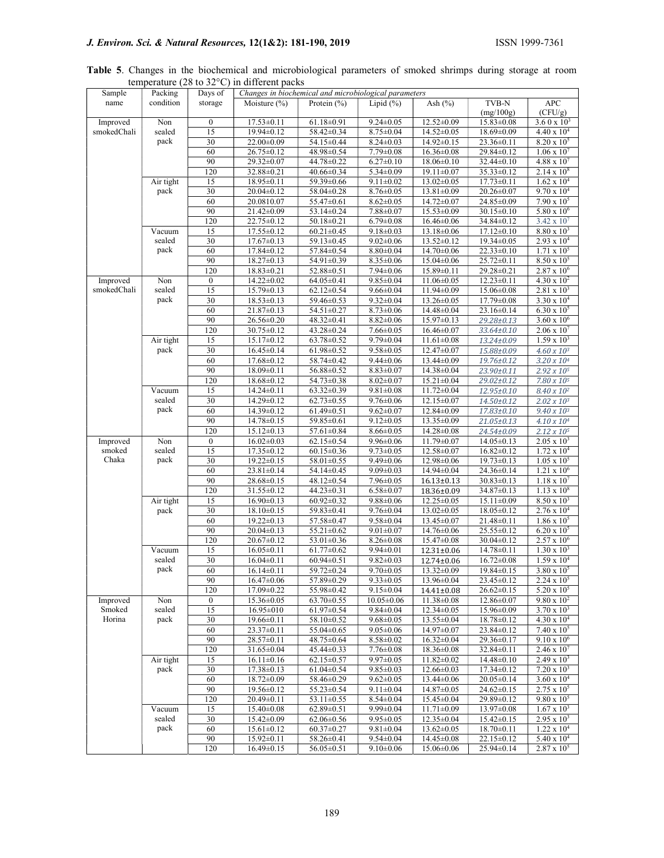Table 5. Changes in the biochemical and microbiological parameters of smoked shrimps during storage at room temperature (28 to 32°C) in different packs

| Sample      | Packing   | Days of          | Changes in biochemical and microbiological parameters |                  |                  |                  |                  |                        |
|-------------|-----------|------------------|-------------------------------------------------------|------------------|------------------|------------------|------------------|------------------------|
| name        | condition | storage          | Moisture $(\% )$                                      | Protein $(\% )$  | Lipid $(\% )$    | Ash $(\%)$       | TVB-N            | <b>APC</b>             |
|             |           |                  |                                                       |                  |                  |                  | (mg/100g)        | (CFU/g)                |
| Improved    | Non       | $\boldsymbol{0}$ | $17.53\pm0.11$                                        | $61.18 \pm 0.91$ | $9.24 \pm 0.05$  | 12.52±0.09       | $15.83 \pm 0.08$ | $3.60 \times 10^3$     |
| smokedChali | sealed    | 15               | 19.94±0.12                                            | 58.42±0.34       | $8.75 \pm 0.04$  | 14.52±0.05       | 18.69±0.09       | $4.40 \times 10^{4}$   |
|             | pack      | 30               | 22.00±0.09                                            | 54.15±0.44       | $8.24 \pm 0.03$  | $14.92 \pm 0.15$ | 23.36±0.11       | $8.20 \times 10^5$     |
|             |           | 60               | 26.75±0.12                                            | $48.98 \pm 0.54$ | $7.79 \pm 0.08$  | $16.36 \pm 0.08$ | 29.84±0.12       | $1.06 \times 10^{7}$   |
|             |           | 90               | 29.32±0.07                                            | 44.78±0.22       | $6.27 \pm 0.10$  | $18.06 \pm 0.10$ | 32.44±0.10       | $4.88 \times 10^{7}$   |
|             |           | 120              | 32.88±0.21                                            | 40.66±0.34       | $5.34 \pm 0.09$  | $19.11 \pm 0.07$ | 35.33±0.12       | $2.14 \times 10^8$     |
|             | Air tight | 15               | $18.95 \pm 0.11$                                      | $59.39 \pm 0.66$ | $9.11 \pm 0.02$  | $13.02 \pm 0.05$ | $17.73 \pm 0.11$ | $1.62 \times 10^4$     |
|             | pack      | 30               | 20.04±0.12                                            | 58.04±0.28       | $8.76 \pm 0.05$  | $13.81 \pm 0.09$ | 20.26±0.07       | $9.70 \times 10^{4}$   |
|             |           | 60               | 20.0810.07                                            | 55.47±0.61       | $8.62 \pm 0.05$  | $14.72 \pm 0.07$ | 24.85±0.09       | $7.90 \times 10^5$     |
|             |           | 90               | 21.42±0.09                                            | 53.14±0.24       | $7.88 \pm 0.07$  | $15.53 \pm 0.09$ | 30.15±0.10       | $5.80 \times 10^{6}$   |
|             |           | 120              | 22.75±0.12                                            | $50.18 \pm 0.21$ | $6.79 \pm 0.08$  | $16.46 \pm 0.06$ | 34.84±0.12       | $3.42 \times 10^{7}$   |
|             | Vacuum    | 15               | 17.55±0.12                                            | $60.21 \pm 0.45$ | $9.18 \pm 0.03$  | 13.18±0.06       | $17.12 \pm 0.10$ | $8.80 \times 10^3$     |
|             | sealed    | 30               | $17.67 \pm 0.13$                                      | 59.13±0.45       | $9.02 \pm 0.06$  | 13.52±0.12       | 19.34±0.05       | $2.93 \times 10^{4}$   |
|             | pack      | 60               | 17.84±0.12                                            | 57.84±0.54       | $8.80 \pm 0.04$  | 14.70±0.06       | $22.33 \pm 0.10$ | $1.71 \times 10^5$     |
|             |           | 90               | $18.27 \pm 0.13$                                      | 54.91±0.39       | $8.35 \pm 0.06$  | 15.04±0.06       | 25.72±0.11       | $8.50 \times 10^{5}$   |
|             |           | 120              | $18.83 \pm 0.21$                                      | $52.88 \pm 0.51$ | $7.94 \pm 0.06$  | 15.89±0.11       | 29.28±0.21       | $2.87 \times 10^{6}$   |
| Improved    | Non       | $\mathbf{0}$     | 14.22±0.02                                            | $64.05 \pm 0.41$ | $9.85 \pm 0.04$  | $11.06 \pm 0.05$ | $12.23 \pm 0.11$ | $4.30 \times 10^{2}$   |
| smokedChali | sealed    | 15               | $15.79 \pm 0.13$                                      | $62.12 \pm 0.54$ | $9.66 \pm 0.04$  | $11.94 \pm 0.09$ | $15.06 \pm 0.08$ | $2.81 \times 10^3$     |
|             | pack      | 30               | $18.53 \pm 0.13$                                      | 59.46±0.53       | $9.32 \pm 0.04$  | 13.26±0.05       | 17.79±0.08       | $3.30 \times 10^{4}$   |
|             |           | 60               | 21.87±0.13                                            | 54.51±0.27       | $8.73 \pm 0.06$  | 14.48±0.04       | 23.16±0.14       | $6.30 \times 10^{5}$   |
|             |           | 90               | $26.56 \pm 0.20$                                      | 48.32±0.41       | $8.82 \pm 0.06$  | 15.97±0.13       | 29.28±0.13       | $3.60 \times 10^{6}$   |
|             |           | 120              | 30.75±0.12                                            | 43.28±0.24       | $7.66 \pm 0.05$  | $16.46 \pm 0.07$ | 33.64±0.10       | $2.06 \times 10^{7}$   |
|             | Air tight | 15               | $15.17 \pm 0.12$                                      | 63.78±0.52       | $9.79 \pm 0.04$  | $11.61 \pm 0.08$ | 13.24±0.09       | $1.59 \times 10^3$     |
|             | pack      | 30               | $16.45 \pm 0.14$                                      | $61.98 \pm 0.52$ | $9.58 \pm 0.05$  | $12.47 \pm 0.07$ | 15.88±0.09       | $4.60 \times 10^3$     |
|             |           | 60               | $17.68 \pm 0.12$                                      | 58.74±0.42       | $9.44 \pm 0.06$  | 13.44±0.09       | 19.76±0.12       | $3.20 \times 10^{4}$   |
|             |           | 90               | $18.09 \pm 0.11$                                      | 56.88±0.52       | $8.83 \pm 0.07$  | 14.38±0.04       | 23.90±0.11       | $2.92 \times 10^{5}$   |
|             |           | 120              | $18.68 \pm 0.12$                                      | 54.73±0.38       | $8.02 \pm 0.07$  | $15.21 \pm 0.04$ | 29.02±0.12       | $7.80 \times 10^5$     |
|             | Vacuum    | 15               | $14.24 \pm 0.11$                                      | $63.32 \pm 0.39$ | $9.81 \pm 0.08$  | $11.72 \pm 0.04$ | 12.95±0.10       | 8.40 x 10 <sup>2</sup> |
|             | sealed    | 30               | 14.29±0.12                                            | $62.73 \pm 0.55$ | $9.76 \pm 0.06$  | $12.15 \pm 0.07$ | 14.50±0.12       | $2.02 \times 10^3$     |
|             | pack      | 60               | 14.39±0.12                                            | $61.49 \pm 0.51$ | $9.62 \pm 0.07$  | 12.84±0.09       | 17.83±0.10       | $9.40 \times 10^3$     |
|             |           | 90               |                                                       |                  | $9.12 \pm 0.05$  |                  |                  |                        |
|             |           |                  | $14.78 \pm 0.15$                                      | 59.85±0.61       |                  | 13.35±0.09       | $21.05 \pm 0.13$ | $4.10 \times 10^4$     |
|             |           | 120              | $15.12 \pm 0.13$                                      | 57.61±0.84       | $8.66 \pm 0.05$  | $14.28 \pm 0.08$ | 24.54±0.09       | $2.12 \times 10^{5}$   |
| Improved    | Non       | $\mathbf{0}$     | $16.02 \pm 0.03$                                      | $62.15 \pm 0.54$ | $9.96 \pm 0.06$  | $11.79 \pm 0.07$ | $14.05 \pm 0.13$ | $2.05 \times 10^3$     |
| smoked      | sealed    | 15               | 17.35±0.12                                            | $60.15 \pm 0.36$ | $9.73 \pm 0.05$  | $12.58 \pm 0.07$ | $16.82 \pm 0.12$ | $1.72 \times 10^{4}$   |
| Chaka       | pack      | 30               | $19.22 \pm 0.15$                                      | 58.01±0.55       | $9.49 \pm 0.06$  | 12.98±0.06       | $19.73 \pm 0.13$ | $1.05 \times 10^5$     |
|             |           | 60               | 23.81±0.14                                            | 54.14±0.45       | $9.09 \pm 0.03$  | 14.94±0.04       | 24.36±0.14       | $1.21 \times 10^{6}$   |
|             |           | 90               | 28.68±0.15                                            | 48.12±0.54       | $7.96 \pm 0.05$  | $16.13 \pm 0.13$ | $30.83 \pm 0.13$ | $1.18 \times 10^{7}$   |
|             |           | 120              | 31.55±0.12                                            | 44.23±0.31       | $6.58 \pm 0.07$  | 18.36±0.09       | 34.87±0.13       | $1.13 \times 10^8$     |
|             | Air tight | 15               | $16.90 \pm 0.13$                                      | $60.92 \pm 0.32$ | $9.88 \pm 0.06$  | $12.25 \pm 0.05$ | $15.11 \pm 0.09$ | $8.50 \times 10^{3}$   |
|             | pack      | 30               | $18.10\pm0.15$                                        | 59.83±0.41       | $9.76 \pm 0.04$  | $13.02 \pm 0.05$ | 18.05±0.12       | $2.76 \times 10^{4}$   |
|             |           | 60               | 19.22±0.13                                            | 57.58±0.47       | $9.58 \pm 0.04$  | 13.45±0.07       | 21.48±0.11       | $1.86 \times 10^5$     |
|             |           | 90               | $20.04 \pm 0.13$                                      | 55.21±0.62       | $9.01 \pm 0.07$  | 14.76±0.06       | 25.55±0.12       | $6.20 \times 10^{5}$   |
|             |           | 120              | $20.67 \pm 0.12$                                      | 53.01±0.36       | $8.26 \pm 0.08$  | $15.47 \pm 0.08$ | 30.04±0.12       | $2.57 \times 10^6$     |
|             | Vacuum    | 15               | $16.05 \pm 0.11$                                      | $61.77 \pm 0.62$ | $9.94 \pm 0.01$  | 12.31±0.06       | 14.78±0.11       | $1.30 \times 10^3$     |
|             | sealed    | 30               | $16.04 \pm 0.11$                                      | $60.94 \pm 0.51$ | $9.82 \pm 0.03$  | 12.74±0.06       | $16.72 \pm 0.08$ | $1.59 \times 10^{4}$   |
|             | pack      | 60               | $16.14 \pm 0.11$                                      | 59.72±0.24       | $9.70 \pm 0.05$  | 13.32±0.09       | 19.84±0.15       | $3.80 \times 10^{5}$   |
|             |           | 90               | $16.47 \pm 0.06$                                      | 57.89±0.29       | $9.33 \pm 0.05$  | 13.96±0.04       | 23.45±0.12       | $2.24 \times 10^{5}$   |
|             |           | 120              | 17.09±0.22                                            | 55.98±0.42       | $9.15 \pm 0.04$  | 14.41±0.08       | $26.62 \pm 0.15$ | $5.20 \times 10^{5}$   |
| Improved    | Non       | $\bf{0}$         | 15.36±0.05                                            | 63.70±0.55       | $10.05 \pm 0.06$ | 11.38±0.08       | 12.86±0.07       | $9.80 \times 10^{2}$   |
| Smoked      | sealed    | 15               | 16.95±010                                             | $61.97 \pm 0.54$ | $9.84 \pm 0.04$  | 12.34±0.05       | 15.96±0.09       | $3.70 \times 10^{3}$   |
| Horina      | pack      | 30               | $19.66 \pm 0.11$                                      | 58.10±0.52       | $9.68 \pm 0.05$  | 13.55±0.04       | 18.78±0.12       | $4.30 \times 10^{4}$   |
|             |           | 60               | 23.37±0.11                                            | 55.04±0.65       | $9.05 \pm 0.06$  | 14.97±0.07       | 23.84±0.12       | $7.40 \times 10^{5}$   |
|             |           | 90               | 28.57±0.11                                            | 48.75±0.64       | $8.58 \pm 0.02$  | $16.32 \pm 0.04$ | 29.36±0.17       | $9.10 \times 10^{6}$   |
|             |           | 120              | 31.65±0.04                                            | 45.44±0.33       | $7.76 \pm 0.08$  | $18.36 \pm 0.08$ | 32.84±0.11       | $2.46 \times 10^{7}$   |
|             | Air tight | 15               | $16.11 \pm 0.16$                                      | $62.15 \pm 0.57$ | $9.97 \pm 0.05$  | $11.82 \pm 0.02$ | $14.48 \pm 0.10$ | $2.49 \times 10^{3}$   |
|             | pack      | $\overline{30}$  | $17.38 \pm 0.13$                                      | $61.04 \pm 0.54$ | $9.85 \pm 0.03$  | $12.66 \pm 0.03$ | $17.34 \pm 0.12$ | $7.20 \times 10^3$     |
|             |           | 60               | 18.72±0.09                                            | $58.46 \pm 0.29$ | $9.62 \pm 0.05$  | 13.44±0.06       | $20.05 \pm 0.14$ | $3.60 \times 10^{4}$   |
|             |           | 90               | 19.56±0.12                                            | 55.23±0.54       | $9.11 \pm 0.04$  | 14.87±0.05       | $24.62 \pm 0.15$ | $2.75 \times 10^{5}$   |
|             |           | 120              | 20.49±0.11                                            | 53.11±0.55       | $8.54 \pm 0.04$  | 15.45±0.04       | 29.89±0.12       | $9.80 \times 10^{5}$   |
|             | Vacuum    | 15               | 15.40±0.08                                            | $62.89 \pm 0.51$ | $9.99 \pm 0.04$  | $11.71 \pm 0.09$ | 13.97±0.08       | $1.67 \times 10^3$     |
|             | sealed    | 30               | $15.42 \pm 0.09$                                      | $62.06 \pm 0.56$ | $9.95 \pm 0.05$  | 12.35±0.04       | $15.42 \pm 0.15$ | $2.95 \times 10^3$     |
|             | pack      | 60               | $15.61 \pm 0.12$                                      | $60.37 \pm 0.27$ | $9.81 \pm 0.04$  | $13.62 \pm 0.05$ | $18.70 \pm 0.11$ | $1.22 \times 10^{4}$   |
|             |           | 90               | 15.92±0.11                                            | 58.26±0.41       | $9.54 \pm 0.04$  | 14.45±0.08       | 22.15±0.12       | $5.40 \times 10^{4}$   |
|             |           | 120              | $16.49 \pm 0.15$                                      | $56.05 \pm 0.51$ | $9.10 \pm 0.06$  | 15.06±0.06       | 25.94±0.14       | $2.87 \times 10^5$     |